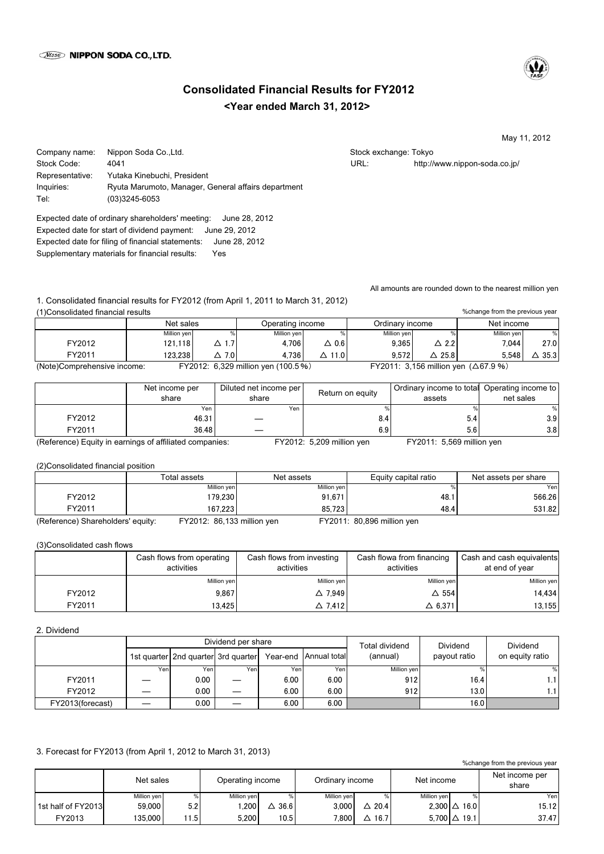

# **<Year ended March 31, 2012> Consolidated Financial Results for FY2012**

May 11, 2012

Company name: Nippon Soda Co.,Ltd. Stock exchange: Tokyo Stock exchange: Tokyo Stock Code: 4041 URL: http://www.nippon-soda.co.jp/ Representative: Yutaka Kinebuchi, President Inquiries: Ryuta Marumoto, Manager, General affairs department Tel: (03)3245-6053

Expected date of ordinary shareholders' meeting: June 28, 2012 Expected date for start of dividend payment: June 29, 2012 Expected date for filing of financial statements: June 28, 2012 Supplementary materials for financial results: Yes

All amounts are rounded down to the nearest million yen

1. Consolidated financial results for FY2012 (from April 1, 2011 to March 31, 2012) (1)Consolidated financial results

| %change from the previous year<br>(1) Consolidated financial results |             |                 |                                    |               |                 |                  |                                               |      |
|----------------------------------------------------------------------|-------------|-----------------|------------------------------------|---------------|-----------------|------------------|-----------------------------------------------|------|
|                                                                      | Net sales   |                 | Operating income                   |               | Ordinary income |                  | Net income                                    |      |
|                                                                      | Million yen |                 | Million yen                        |               | Million yen     |                  | Million yen                                   | %    |
| FY2012                                                               | 121.118     | $\Delta$ 1.7    | 4.706                              | $\Delta$ 0.6  | 9.365           | $\triangle$ 2.2  | 7.044                                         | 27.0 |
| FY2011                                                               | 123.238     | $\triangle$ 7.0 | 4.736                              | $\Delta$ 11.0 | 9.572           | $\triangle$ 25.8 | 5.548                                         | 35.3 |
| (Note)Comprehensive income:                                          |             |                 | FY2012: 6,329 million yen (100.5%) |               |                 |                  | FY2011: 3,156 million yen $( \Delta 67.9 % )$ |      |

|                                                            | Net income per<br>share   | Diluted net income per<br>share | Return on equity | Ordinary income to total Operating income to<br>assets | net sales |
|------------------------------------------------------------|---------------------------|---------------------------------|------------------|--------------------------------------------------------|-----------|
|                                                            | Yen                       | Yen                             |                  |                                                        | %         |
| FY2012                                                     | 46.31                     |                                 | 8.4              | 5.4                                                    | 3.9       |
| FY2011                                                     | 36.48                     |                                 | 6.9              | 5.6                                                    | 3.8       |
| $\sim$<br>$\overline{\phantom{0}}$<br>$\sim$ $\sim$ $\sim$ | $\epsilon$ can $\epsilon$ | $\blacksquare$                  | .                | $\cdots$<br>$- - - - - -$                              |           |

(Reference) Equity in earnings of affiliated companies: FY2012: 5,209 million yen FY2011: 5,569 million yen

(2)Consolidated financial position

|                                   | Total assets               | Net assets  | Equity capital ratio       | Net assets per share |
|-----------------------------------|----------------------------|-------------|----------------------------|----------------------|
|                                   | Million yen                | Million yen |                            | Yenl                 |
| FY2012                            | 179.230                    | 91.671      | 48.1                       | 566.26               |
| FY2011                            | 167.223                    | 85.723      | 48.4                       | 531.82               |
| (Reference) Shareholders' equity: | FY2012: 86,133 million yen |             | FY2011: 80,896 million yen |                      |

(3)Consolidated cash flows

|        | Cash flows from operating<br>activities | Cash flows from investing<br>activities | Cash flowa from financing<br>activities | Cash and cash equivalents<br>at end of year |
|--------|-----------------------------------------|-----------------------------------------|-----------------------------------------|---------------------------------------------|
|        | Million yen                             | Million yen                             | Million yen                             | Million yen                                 |
| FY2012 | 9.867                                   | $\triangle$ 7.949                       | $\Delta$ 554                            | 14.434                                      |
| FY2011 | 13.425                                  | $\triangle$ 7.412                       | $\Delta$ 6.371                          | 13.155                                      |

## 2. Dividend

|                  |     |                                     | Dividend per share |      |                         | Total dividend | <b>Dividend</b> | Dividend        |
|------------------|-----|-------------------------------------|--------------------|------|-------------------------|----------------|-----------------|-----------------|
|                  |     | 1st quarter 2nd quarter 3rd quarter |                    |      | Year-end   Annual total | (annual)       | payout ratio    | on equity ratio |
|                  | Yen | Yeni                                | Yenl               | Yen  | Yen                     | Million yen    |                 | %               |
| FY2011           |     | 0.00                                |                    | 6.00 | 6.00                    | 912            | 16.41           | 1.1 I           |
| FY2012           |     | 0.00                                |                    | 6.00 | 6.00                    | 912            | 13.0            | 1.1'            |
| FY2013(forecast) |     | 0.00                                |                    | 6.00 | 6.00                    |                | 16.OI           |                 |

# 3. Forecast for FY2013 (from April 1, 2012 to March 31, 2013)

|                    | Net sales   |       | Operating income |      | Ordinary income |           | Net income  |                     | Net income per<br>share |
|--------------------|-------------|-------|------------------|------|-----------------|-----------|-------------|---------------------|-------------------------|
|                    | Million yen | ℅     | Million yen      | ℅    | Million yen     | %         | Million ven |                     | Yer                     |
| 1st half of FY2013 | 59.000      | 5.2   | .200             | 36.6 | 3.000           | 20.4<br>Δ |             | $2.300 \Delta 16.0$ | 15.12                   |
| FY2013             | 135,000     | 11.51 | 5.200            | 10.5 | 7.800           | 16.7<br>Δ |             | $5.700 \Delta 19.1$ | 37.47                   |

%change from the previous year